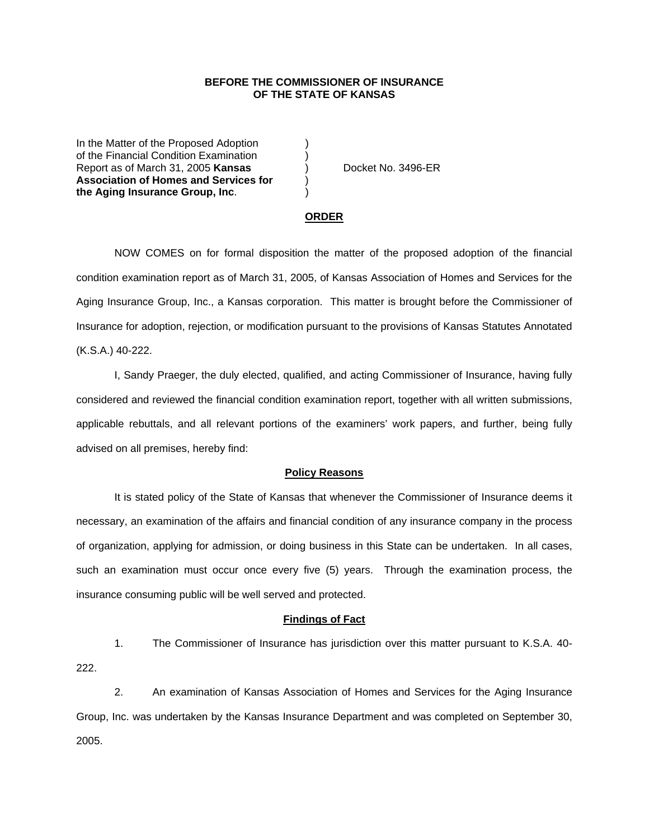# **BEFORE THE COMMISSIONER OF INSURANCE OF THE STATE OF KANSAS**

In the Matter of the Proposed Adoption of the Financial Condition Examination ) Report as of March 31, 2005 **Kansas** ) Docket No. 3496-ER **Association of Homes and Services for** ) **the Aging Insurance Group, Inc**. )

#### **ORDER**

 NOW COMES on for formal disposition the matter of the proposed adoption of the financial condition examination report as of March 31, 2005, of Kansas Association of Homes and Services for the Aging Insurance Group, Inc., a Kansas corporation. This matter is brought before the Commissioner of Insurance for adoption, rejection, or modification pursuant to the provisions of Kansas Statutes Annotated (K.S.A.) 40-222.

 I, Sandy Praeger, the duly elected, qualified, and acting Commissioner of Insurance, having fully considered and reviewed the financial condition examination report, together with all written submissions, applicable rebuttals, and all relevant portions of the examiners' work papers, and further, being fully advised on all premises, hereby find:

#### **Policy Reasons**

 It is stated policy of the State of Kansas that whenever the Commissioner of Insurance deems it necessary, an examination of the affairs and financial condition of any insurance company in the process of organization, applying for admission, or doing business in this State can be undertaken. In all cases, such an examination must occur once every five (5) years. Through the examination process, the insurance consuming public will be well served and protected.

### **Findings of Fact**

 1. The Commissioner of Insurance has jurisdiction over this matter pursuant to K.S.A. 40- 222.

 2. An examination of Kansas Association of Homes and Services for the Aging Insurance Group, Inc. was undertaken by the Kansas Insurance Department and was completed on September 30, 2005.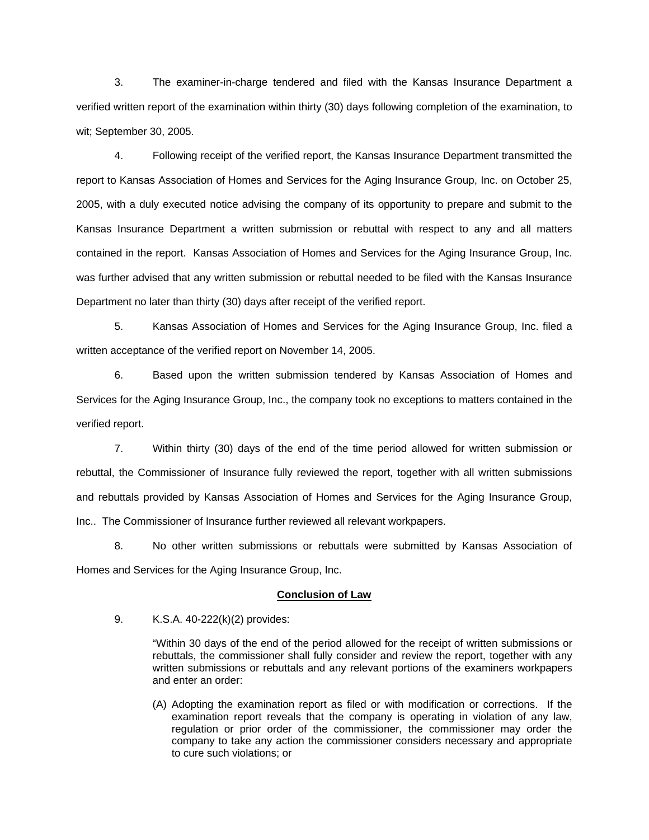3. The examiner-in-charge tendered and filed with the Kansas Insurance Department a verified written report of the examination within thirty (30) days following completion of the examination, to wit; September 30, 2005.

 4. Following receipt of the verified report, the Kansas Insurance Department transmitted the report to Kansas Association of Homes and Services for the Aging Insurance Group, Inc. on October 25, 2005, with a duly executed notice advising the company of its opportunity to prepare and submit to the Kansas Insurance Department a written submission or rebuttal with respect to any and all matters contained in the report. Kansas Association of Homes and Services for the Aging Insurance Group, Inc. was further advised that any written submission or rebuttal needed to be filed with the Kansas Insurance Department no later than thirty (30) days after receipt of the verified report.

 5. Kansas Association of Homes and Services for the Aging Insurance Group, Inc. filed a written acceptance of the verified report on November 14, 2005.

 6. Based upon the written submission tendered by Kansas Association of Homes and Services for the Aging Insurance Group, Inc., the company took no exceptions to matters contained in the verified report.

 7. Within thirty (30) days of the end of the time period allowed for written submission or rebuttal, the Commissioner of Insurance fully reviewed the report, together with all written submissions and rebuttals provided by Kansas Association of Homes and Services for the Aging Insurance Group, Inc.. The Commissioner of Insurance further reviewed all relevant workpapers.

 8. No other written submissions or rebuttals were submitted by Kansas Association of Homes and Services for the Aging Insurance Group, Inc.

## **Conclusion of Law**

9. K.S.A. 40-222(k)(2) provides:

"Within 30 days of the end of the period allowed for the receipt of written submissions or rebuttals, the commissioner shall fully consider and review the report, together with any written submissions or rebuttals and any relevant portions of the examiners workpapers and enter an order:

(A) Adopting the examination report as filed or with modification or corrections. If the examination report reveals that the company is operating in violation of any law, regulation or prior order of the commissioner, the commissioner may order the company to take any action the commissioner considers necessary and appropriate to cure such violations; or